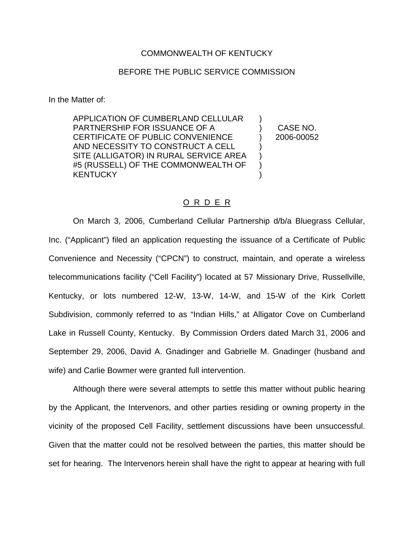## COMMONWEALTH OF KENTUCKY

## BEFORE THE PUBLIC SERVICE COMMISSION

In the Matter of:

APPLICATION OF CUMBERLAND CELLULAR PARTNERSHIP FOR ISSUANCE OF A CERTIFICATE OF PUBLIC CONVENIENCE AND NECESSITY TO CONSTRUCT A CELL SITE (ALLIGATOR) IN RURAL SERVICE AREA #5 (RUSSELL) OF THE COMMONWEALTH OF **KENTUCKY** ) ) ) ) )

) CASE NO. ) 2006-00052

## O R D E R

On March 3, 2006, Cumberland Cellular Partnership d/b/a Bluegrass Cellular, Inc. ("Applicant") filed an application requesting the issuance of a Certificate of Public Convenience and Necessity ("CPCN") to construct, maintain, and operate a wireless telecommunications facility ("Cell Facility") located at 57 Missionary Drive, Russellville, Kentucky, or lots numbered 12-W, 13-W, 14-W, and 15-W of the Kirk Corlett Subdivision, commonly referred to as "Indian Hills," at Alligator Cove on Cumberland Lake in Russell County, Kentucky. By Commission Orders dated March 31, 2006 and September 29, 2006, David A. Gnadinger and Gabrielle M. Gnadinger (husband and wife) and Carlie Bowmer were granted full intervention.

Although there were several attempts to settle this matter without public hearing by the Applicant, the Intervenors, and other parties residing or owning property in the vicinity of the proposed Cell Facility, settlement discussions have been unsuccessful. Given that the matter could not be resolved between the parties, this matter should be set for hearing. The Intervenors herein shall have the right to appear at hearing with full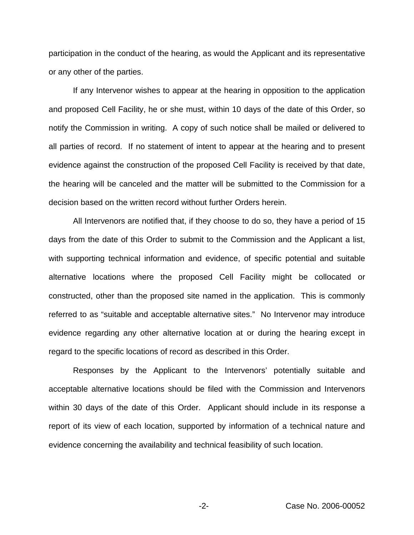participation in the conduct of the hearing, as would the Applicant and its representative or any other of the parties.

If any Intervenor wishes to appear at the hearing in opposition to the application and proposed Cell Facility, he or she must, within 10 days of the date of this Order, so notify the Commission in writing. A copy of such notice shall be mailed or delivered to all parties of record. If no statement of intent to appear at the hearing and to present evidence against the construction of the proposed Cell Facility is received by that date, the hearing will be canceled and the matter will be submitted to the Commission for a decision based on the written record without further Orders herein.

All Intervenors are notified that, if they choose to do so, they have a period of 15 days from the date of this Order to submit to the Commission and the Applicant a list, with supporting technical information and evidence, of specific potential and suitable alternative locations where the proposed Cell Facility might be collocated or constructed, other than the proposed site named in the application. This is commonly referred to as "suitable and acceptable alternative sites." No Intervenor may introduce evidence regarding any other alternative location at or during the hearing except in regard to the specific locations of record as described in this Order.

Responses by the Applicant to the Intervenors' potentially suitable and acceptable alternative locations should be filed with the Commission and Intervenors within 30 days of the date of this Order. Applicant should include in its response a report of its view of each location, supported by information of a technical nature and evidence concerning the availability and technical feasibility of such location.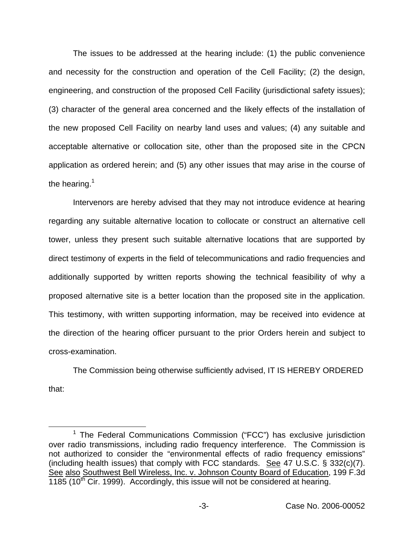The issues to be addressed at the hearing include: (1) the public convenience and necessity for the construction and operation of the Cell Facility; (2) the design, engineering, and construction of the proposed Cell Facility (jurisdictional safety issues); (3) character of the general area concerned and the likely effects of the installation of the new proposed Cell Facility on nearby land uses and values; (4) any suitable and acceptable alternative or collocation site, other than the proposed site in the CPCN application as ordered herein; and (5) any other issues that may arise in the course of the hearing. $1$ 

Intervenors are hereby advised that they may not introduce evidence at hearing regarding any suitable alternative location to collocate or construct an alternative cell tower, unless they present such suitable alternative locations that are supported by direct testimony of experts in the field of telecommunications and radio frequencies and additionally supported by written reports showing the technical feasibility of why a proposed alternative site is a better location than the proposed site in the application. This testimony, with written supporting information, may be received into evidence at the direction of the hearing officer pursuant to the prior Orders herein and subject to cross-examination.

The Commission being otherwise sufficiently advised, IT IS HEREBY ORDERED that:

 $1$  The Federal Communications Commission ("FCC") has exclusive jurisdiction over radio transmissions, including radio frequency interference. The Commission is not authorized to consider the "environmental effects of radio frequency emissions" (including health issues) that comply with FCC standards. See 47 U.S.C. § 332(c)(7). See also Southwest Bell Wireless, Inc. v. Johnson County Board of Education, 199 F.3d  $1185$  (10<sup>th</sup> Cir. 1999). Accordingly, this issue will not be considered at hearing.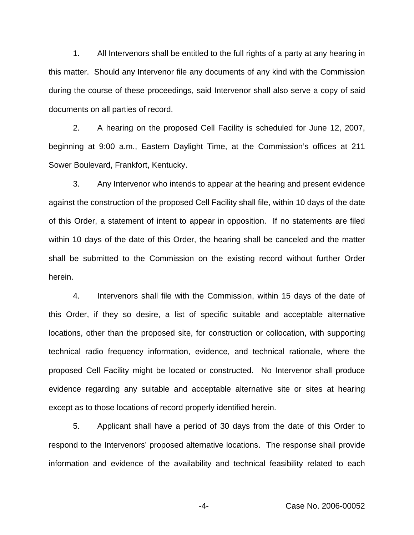1. All Intervenors shall be entitled to the full rights of a party at any hearing in this matter. Should any Intervenor file any documents of any kind with the Commission during the course of these proceedings, said Intervenor shall also serve a copy of said documents on all parties of record.

2. A hearing on the proposed Cell Facility is scheduled for June 12, 2007, beginning at 9:00 a.m., Eastern Daylight Time, at the Commission's offices at 211 Sower Boulevard, Frankfort, Kentucky.

3. Any Intervenor who intends to appear at the hearing and present evidence against the construction of the proposed Cell Facility shall file, within 10 days of the date of this Order, a statement of intent to appear in opposition. If no statements are filed within 10 days of the date of this Order, the hearing shall be canceled and the matter shall be submitted to the Commission on the existing record without further Order herein.

4. Intervenors shall file with the Commission, within 15 days of the date of this Order, if they so desire, a list of specific suitable and acceptable alternative locations, other than the proposed site, for construction or collocation, with supporting technical radio frequency information, evidence, and technical rationale, where the proposed Cell Facility might be located or constructed. No Intervenor shall produce evidence regarding any suitable and acceptable alternative site or sites at hearing except as to those locations of record properly identified herein.

5. Applicant shall have a period of 30 days from the date of this Order to respond to the Intervenors' proposed alternative locations. The response shall provide information and evidence of the availability and technical feasibility related to each

-4- Case No. 2006-00052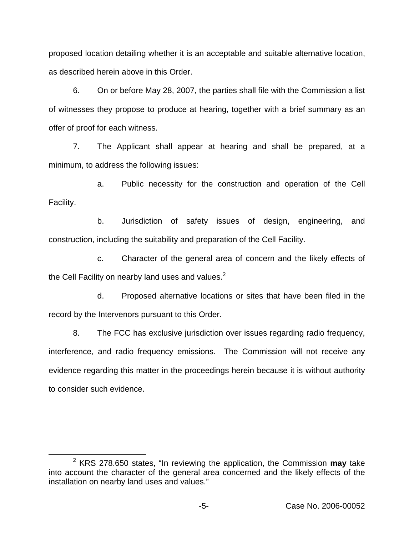proposed location detailing whether it is an acceptable and suitable alternative location, as described herein above in this Order.

6. On or before May 28, 2007, the parties shall file with the Commission a list of witnesses they propose to produce at hearing, together with a brief summary as an offer of proof for each witness.

7. The Applicant shall appear at hearing and shall be prepared, at a minimum, to address the following issues:

a. Public necessity for the construction and operation of the Cell Facility.

b. Jurisdiction of safety issues of design, engineering, and construction, including the suitability and preparation of the Cell Facility.

c. Character of the general area of concern and the likely effects of the Cell Facility on nearby land uses and values. $2^2$ 

d. Proposed alternative locations or sites that have been filed in the record by the Intervenors pursuant to this Order.

8. The FCC has exclusive jurisdiction over issues regarding radio frequency, interference, and radio frequency emissions. The Commission will not receive any evidence regarding this matter in the proceedings herein because it is without authority to consider such evidence.

<sup>2</sup> KRS 278.650 states, "In reviewing the application, the Commission **may** take into account the character of the general area concerned and the likely effects of the installation on nearby land uses and values."